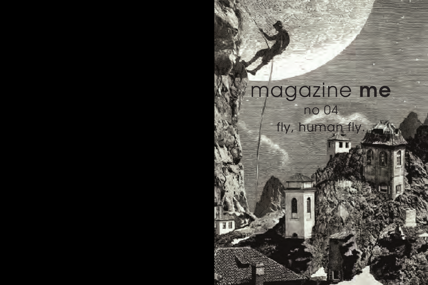# magazine me no 04 fly, human fly.

TI)

 $\bullet$  ,  $\bullet$  ,  $\bullet$  ,  $\bullet$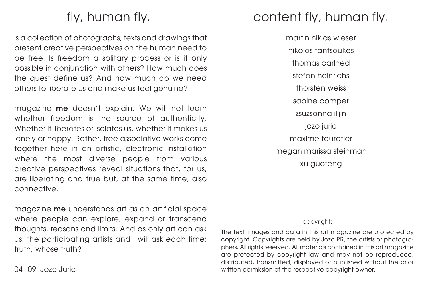### fly, human fly.

is a collection of photographs, texts and drawings that present creative perspectives on the human need to be free. Is freedom a solitary process or is it only possible in conjunction with others? How much does the quest define us? And how much do we need others to liberate us and make us feel genuine?

magazine me doesn't explain. We will not learn whether freedom is the source of authenticity. Whether it liberates or isolates us, whether it makes us lonely or happy. Rather, free associative works come together here in an artistic, electronic installation where the most diverse people from various creative perspectives reveal situations that, for us, are liberating and true but, at the same time, also connective.

magazine me understands art as an artificial space where people can explore, expand or transcend thoughts, reasons and limits. And as only art can ask us, the participating artists and I will ask each time: truth, whose truth?

04|09 Jozo Juric

#### content fly, human fly.

martin niklas wieser nikolas tantsoukes thomas carlhed stefan heinrichs thorsten weiss sabine comper zsuzsanna ilijin jozo juric maxime touratier megan marissa steinman xu guofeng

#### copyright:

The text, images and data in this art magazine are protected by copyright. Copyrights are held by Jozo PR, the artists or photographers. All rights reserved. All materials contained in this art magazine are protected by copyright law and may not be reproduced, distributed, transmitted, displayed or published without the prior written permission of the respective copyright owner.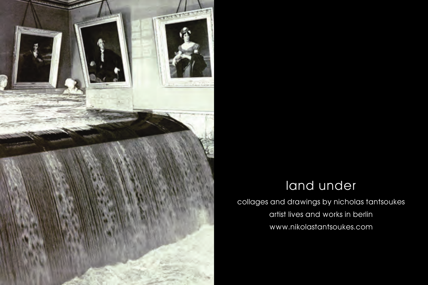

## land under

collages and drawings by nicholas tantsoukes artist lives and works in berlin www.nikolastantsoukes.com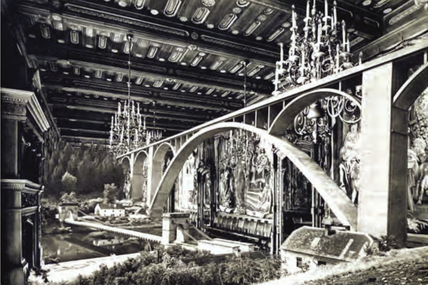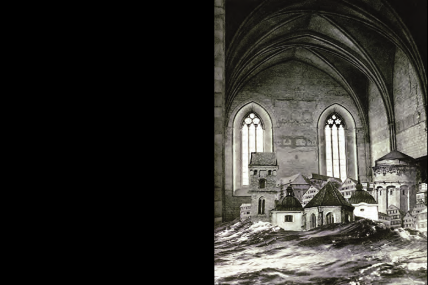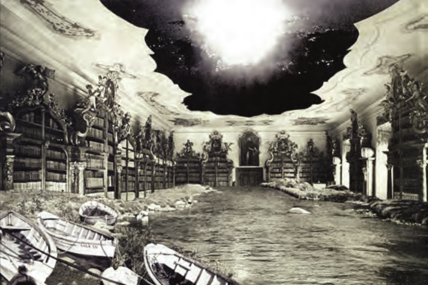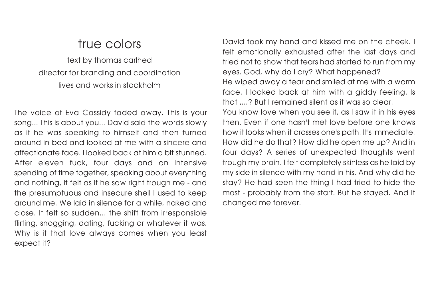#### true colors

text by thomas carlhed director for branding and coordination lives and works in stockholm

The voice of Eva Cassidy faded away. This is your song... This is about you... David said the words slowly as if he was speaking to himself and then turned around in bed and looked at me with a sincere and affectionate face. I looked back at him a bit stunned. After eleven fuck, four days and an intensive spending of time together, speaking about everything and nothing, it felt as if he saw right trough me - and the presumptuous and insecure shell I used to keep around me. We laid in silence for a while, naked and close. It felt so sudden... the shift from irresponsible flirting, snogging, dating, fucking or whatever it was. Why is it that love always comes when you least expect it?

David took my hand and kissed me on the cheek. I felt emotionally exhausted after the last days and tried not to show that tears had started to run from my eyes. God, why do I cry? What happened? He wiped away a tear and smiled at me with a warm face. I looked back at him with a giddy feeling. Is that ....? But I remained silent as it was so clear. You know love when you see it, as I saw it in his eyes then. Even if one hasn't met love before one knows how it looks when it crosses one's path. It's immediate. How did he do that? How did he open me up? And in four days? A series of unexpected thoughts went trough my brain. I felt completely skinless as he laid by my side in silence with my hand in his. And why did he stay? He had seen the thing I had tried to hide the most - probably from the start. But he stayed. And it changed me forever.